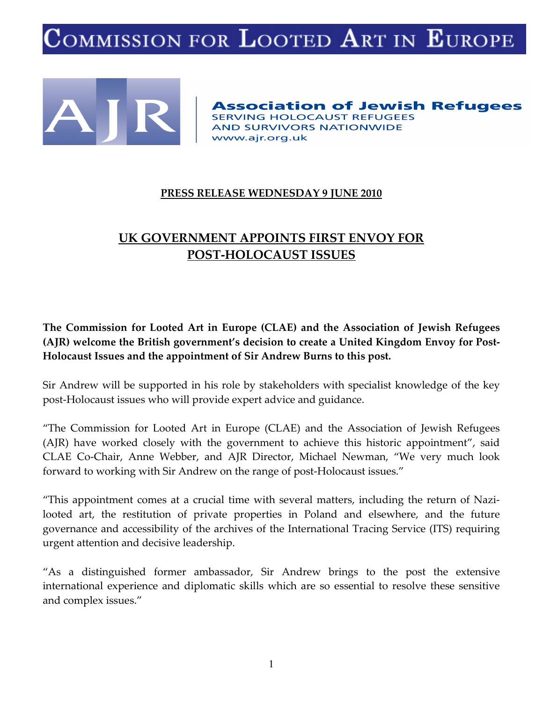# OMMISSION FOR LOOTED ART IN EUROPE



**Association of Jewish Refugees SERVING HOLOCAUST REFUGEES AND SURVIVORS NATIONWIDE** www.ajr.org.uk

#### **PRESS RELEASE WEDNESDAY 9 JUNE 2010**

## **UK GOVERNMENT APPOINTS FIRST ENVOY FOR POST-HOLOCAUST ISSUES**

**The Commission for Looted Art in Europe (CLAE) and the Association of Jewish Refugees (AJR) welcome the British government's decision to create a United Kingdom Envoy for Post-Holocaust Issues and the appointment of Sir Andrew Burns to this post.** 

Sir Andrew will be supported in his role by stakeholders with specialist knowledge of the key post-Holocaust issues who will provide expert advice and guidance.

"The Commission for Looted Art in Europe (CLAE) and the Association of Jewish Refugees (AJR) have worked closely with the government to achieve this historic appointment", said CLAE Co-Chair, Anne Webber, and AJR Director, Michael Newman, "We very much look forward to working with Sir Andrew on the range of post-Holocaust issues."

"This appointment comes at a crucial time with several matters, including the return of Nazilooted art, the restitution of private properties in Poland and elsewhere, and the future governance and accessibility of the archives of the International Tracing Service (ITS) requiring urgent attention and decisive leadership.

"As a distinguished former ambassador, Sir Andrew brings to the post the extensive international experience and diplomatic skills which are so essential to resolve these sensitive and complex issues."